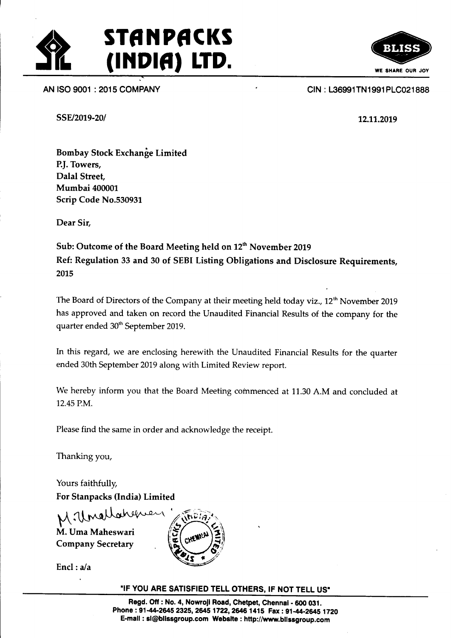

AN ISO 9001 : 2015 COMPANY

RIAC

SSE/2019-20/

CIN : 136991TN1991 PLC021 888

12.11.2019

Bombay Stock Exchange Limited P.J. Towers, Dalal Street, Mumbai 400001 Scrip Code No.530931

Dear Sir,

Sub: Outcome of the Board Meeting held on 12<sup>th</sup> November 2019 Ref: Regulation 33 and 30 of SEBI Listing Obligations and Disclosure Requirements, 2015

The Board of Directors of the Company at their meeting held today viz., 12<sup>th</sup> November 2019 has approved and taken on record the Unaudited Financial Results of the company for the quarter ended 30<sup>th</sup> September 2019.

ln this regard, we are enclosing herewith the Unaudited Financial Results for the quarter ended 30th September 2019 along with Limited Review report.

We hereby inform you that the Board Meeting commenced at 11.30 A.M and concluded at 12.45 P.M.

Please find the same in order and acknowledge the receipt.

Thanking you,

Yours faithfully, For Stanpacks (India) Limited

M. Uncllahene

M. Uma Maheswari Company Secretary



Encl : a/a

"IF YOU ARE SATISFIED TELL OTHERS, IF NOT TELL US"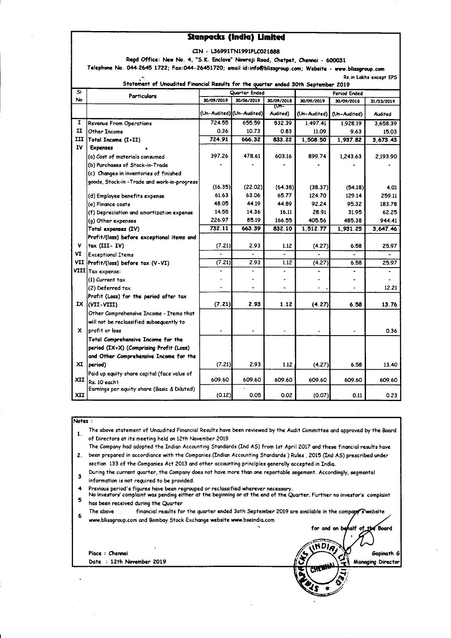#### **Stanpacks (India) Limited**

|  |  |  | CIN - L36991TN1991PLC021888 |
|--|--|--|-----------------------------|
|--|--|--|-----------------------------|

Regd Office: New No. 4, "S.K. Enclave" Nowroji Road, Chetpet, Chennai - 600031

Telephone No. 044-2645 1722; Fax:044-26451720; email id:info@blissgroup.com; Website - www.blissgroup.com

No service de

| Statement of Unaudited Financial Results for the quarter ended 30th September 2019 |                                                             |               |                           |                 |                 |                   |                 |
|------------------------------------------------------------------------------------|-------------------------------------------------------------|---------------|---------------------------|-----------------|-----------------|-------------------|-----------------|
| S۱                                                                                 | <b>Particulars</b>                                          | Quarter Ended |                           | Period Ended    |                 |                   |                 |
| No                                                                                 |                                                             | 30/09/2019    | 30/06/2019                | 30/09/2018      | 30/09/2019      | 30/09/2018        | 31/03/2019      |
|                                                                                    |                                                             |               | (Un-Audited) (Un-Audited) | দে-<br>Audited) | (Un-Audited)    | (Un-Audited)      | Audited         |
| 1                                                                                  | Revenue From Operations                                     | 724.55        | 655.59                    | 832.39          | 1,497.41        | 1,928.19          | 3,658.39        |
| п                                                                                  | Other Income                                                | 0.36          | 10.73                     | 0.83            | 11.09           | 9.63              | 15.03           |
| ш                                                                                  | Total Income (I+II)                                         | 724.91        | 666.32                    | 833.22          | 1,508.50        | 1,937.82          | 3,673.43        |
| IV                                                                                 | <b>Expenses</b>                                             |               |                           |                 |                 |                   |                 |
|                                                                                    | (a) Cost of materials consumed                              | 397.26        | 478.61                    | 603.16          | 899.74          | 1,243.63          | 2,193.90        |
|                                                                                    | (b) Purchases of Stock-in-Trade                             |               |                           |                 |                 |                   |                 |
|                                                                                    | (c) Changes in inventories of finished                      |               |                           |                 |                 |                   |                 |
|                                                                                    | goods, Stock-in-Trade and work-in-progress                  | (16.35)       | (22.02)                   | (64.38)         | (38.37)         |                   |                 |
|                                                                                    |                                                             | 61.63         | 63.06                     | 65.77           |                 | (54.18)<br>129.14 | 4.01            |
|                                                                                    | (d) Employee benefits expense                               | 48.05         | 44.19                     | 44.89           | 124.70<br>92.24 |                   | 259.11          |
|                                                                                    | (e) Finance costs                                           | 14.55         | 14.36                     | 16.11           | 28.91           | 95.32             | 183.78          |
|                                                                                    | (f) Depreciation and amortization expense                   | 226.97        | 85.19                     | 166.55          | 405.56          | 31.95<br>485.38   | 62.25<br>944.41 |
|                                                                                    | (g) Other expenses                                          | 732.11        | 663.39                    | 832.10          |                 |                   |                 |
|                                                                                    | Total expenses (IV)                                         |               |                           |                 | 1,512.77        | 1,931.25          | 3,647.46        |
| v                                                                                  | Profit/(loss) before exceptional items and<br>tax (III-IV)  |               | 2.93                      |                 |                 |                   |                 |
| ٧I                                                                                 |                                                             | (7.21)        |                           | 1.12            | (4.27)          | 6.58              | 25.97           |
|                                                                                    | <b>Exceptional Items</b>                                    |               | 2.93                      |                 |                 |                   |                 |
|                                                                                    | VII Profit/(loss) before tax (V-VI)                         | (7.21)        |                           | 1.12            | (4.27)          | 6.58              | 25.97           |
|                                                                                    | VIII Tax expense:                                           |               |                           |                 |                 |                   |                 |
|                                                                                    | (1) Current tax                                             |               |                           |                 |                 |                   |                 |
|                                                                                    | (2) Deferred tax                                            |               |                           |                 |                 |                   | 12.21           |
| IX.                                                                                | Profit (Loss) for the period after tax                      | (7.21)        | 2.93                      | 1.12            |                 |                   |                 |
|                                                                                    | (VII-VIII)                                                  |               |                           |                 | (4.27)          | 6.58              | 13.76           |
|                                                                                    | Other Comprehensive Income - Items that                     |               |                           |                 |                 |                   |                 |
|                                                                                    | will not be reclassified subsequently to                    |               |                           |                 |                 |                   |                 |
| x.                                                                                 | profit or loss                                              |               |                           |                 |                 |                   | 0.36            |
|                                                                                    | Total Comprehensive Income for the                          |               |                           |                 |                 |                   |                 |
|                                                                                    | period (IX+X) (Comprising Profit (Loss)                     |               |                           |                 |                 |                   |                 |
|                                                                                    | and Other Comprehensive Income for the                      |               |                           |                 |                 |                   |                 |
| <b>XI</b>                                                                          | period)                                                     | (7.21)        | 2.93                      | 1.12            | (4.27)          | 6.58              | 13.40           |
| XII                                                                                | Paid up equity share capital (face value of                 | 609.60        | 609.60                    | 609.60          | 609.60          | 609.60            | 609.60          |
|                                                                                    | Rs. 10 each)<br>Earnings per equity share (Basic & Diluted) |               |                           |                 |                 |                   |                 |
| XII                                                                                |                                                             | (0.12)        | 0.05                      | 0.02            | (0.07)          | 0.11              | 0.23            |

#### Notes:

The above statement of Unaudited Financial Results have been reviewed by the Audit Committee and approved by the Board  $\mathbf{1}$ . of Directors at its meeting held on 12th November 2019

The Company had adopted the Indian Accounting Standards (Ind AS) from 1st April 2017 and these financial results have 2. been prepared in accordiance with the Companies (Indian Accounting Standards) Rules, 2015 (Ind AS) prescribed under section 133 of the Companies Act 2013 and other accounting principles generally accepted in India.

During the current quarter, the Company does not have more than one reportable segement. Accordingly, segmental  $\overline{\mathbf{3}}$ information is not required to be provided.

Previous period's figures have been regrouped or reclassified wherever necessary.  $\blacktriangle$ 

No investors' complaint was pending either at the beginning or at the end of the Quarter. Further no investor's complaint 5 has been received during the Quarter

The above financial results for the quarter ended 3oth September 2019 are available in the company swebsite 6 www.blissgroup.com and Bombay Stock Exchange website www.bseindia.com ,<br>half of for and on be the Board

**INDIA** 

Gopinath G

**Managing Director** 

Place : Chennai Date : 12th November 2019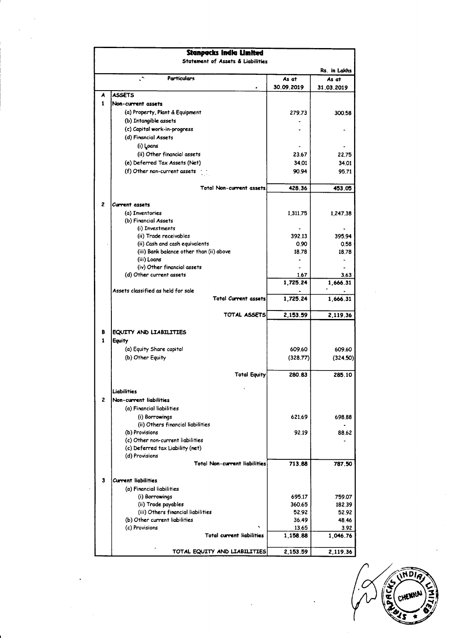| <b>Stanpacks India Limited</b><br><b>Statement of Assets &amp; Liabilities</b> |                                                                   |            |                  |  |  |
|--------------------------------------------------------------------------------|-------------------------------------------------------------------|------------|------------------|--|--|
|                                                                                |                                                                   |            | Rs. in Lakhs     |  |  |
|                                                                                | Particulars                                                       | As at      | As at            |  |  |
|                                                                                |                                                                   | 30.09.2019 | 31.03.2019       |  |  |
| A                                                                              | ASSETS                                                            |            |                  |  |  |
| 1                                                                              | Non-current assets                                                |            |                  |  |  |
|                                                                                | (a) Property, Plant & Equipment                                   | 279.73     |                  |  |  |
|                                                                                | (b) Intangible assets                                             |            | 300.58           |  |  |
|                                                                                |                                                                   |            |                  |  |  |
|                                                                                | (c) Capital work-in-progress<br>(d) Financial Assets              |            |                  |  |  |
|                                                                                |                                                                   |            |                  |  |  |
|                                                                                | (i) Loans                                                         |            |                  |  |  |
|                                                                                | (ii) Other financial assets                                       | 23.67      | 22.75            |  |  |
|                                                                                | (e) Deferred Tax Assets (Net)                                     | 34.01      | 34.01            |  |  |
|                                                                                | (f) Other non-current assets                                      | 90.94      | 95.71            |  |  |
|                                                                                | <b>Total Non-current assets</b>                                   | 428.36     | 453.05           |  |  |
|                                                                                |                                                                   |            |                  |  |  |
| $\overline{c}$                                                                 | Current assets                                                    |            |                  |  |  |
|                                                                                | (a) Inventories                                                   | 1,311.75   | 1.247.38         |  |  |
|                                                                                | (b) Financial Assets                                              |            |                  |  |  |
|                                                                                | (i) Investments                                                   |            |                  |  |  |
|                                                                                | (ii) Trade receivables                                            | 392.13     | 395.94           |  |  |
|                                                                                | (ii) Cash and cash equivalents                                    | 0.90       | 0.58             |  |  |
|                                                                                | (iii) Bank balance other than (ii) above                          | 18.78      | 18.78            |  |  |
|                                                                                | (iii) Loans                                                       |            |                  |  |  |
|                                                                                | (iv) Other financial assets<br>(d) Other current assets           | 1.67       |                  |  |  |
|                                                                                |                                                                   | 1,725.24   | 3.63<br>1,666.31 |  |  |
|                                                                                | Assets classified as held for sale<br><b>Total Current assets</b> | 1,725.24   | 1,666.31         |  |  |
|                                                                                | TOTAL ASSETS                                                      | 2,153.59   | 2,119.36         |  |  |
| в                                                                              | EQUITY AND LIABILITIES                                            |            |                  |  |  |
| 1                                                                              | Equity                                                            |            |                  |  |  |
|                                                                                |                                                                   | 609.60     |                  |  |  |
|                                                                                | (a) Equity Share capital                                          |            | 609.60           |  |  |
|                                                                                | (b) Other Equity                                                  | (328.77)   | (324.50)         |  |  |
|                                                                                | <b>Total Equity</b>                                               | 280.83     | 285.10           |  |  |
|                                                                                |                                                                   |            |                  |  |  |
|                                                                                | Liabilities                                                       |            |                  |  |  |
| $\overline{c}$                                                                 | Non-current liabilities                                           |            |                  |  |  |
|                                                                                | (a) Financial liabilities                                         |            |                  |  |  |
|                                                                                | (i) Borrowings                                                    | 621.69     | 698.88           |  |  |
|                                                                                | (ii) Others financial liabilities                                 |            |                  |  |  |
|                                                                                | (b) Provisions                                                    | 92.19      | 88.62            |  |  |
|                                                                                | (c) Other non-current liabilities                                 |            |                  |  |  |
|                                                                                | (c) Deferred tax Liability (net)                                  |            |                  |  |  |
|                                                                                | (d) Provisions                                                    |            |                  |  |  |
|                                                                                | <b>Total Non-current liabilities</b>                              | 713.88     | 787.50           |  |  |
| 3                                                                              | <b>Current liabilities</b>                                        |            |                  |  |  |
|                                                                                | (a) Financial liabilities                                         |            |                  |  |  |
|                                                                                | (i) Borrowings                                                    | 695.17     | 759.07           |  |  |
|                                                                                | (ii) Trade payables                                               | 360.65     | 182.39           |  |  |
|                                                                                | (iii) Others financial liabilities                                | 52.92      | 52.92            |  |  |
|                                                                                | (b) Other current liabilities                                     | 36.49      | 48.46            |  |  |
|                                                                                | (c) Provisions                                                    | 13.65      | 3.92             |  |  |
|                                                                                | Total current liabilities                                         | 1,158.88   | 1,046.76         |  |  |
|                                                                                | TOTAL EQUITY AND LIABILITIES                                      | 2,153.59   | 2,119.36         |  |  |
|                                                                                |                                                                   |            |                  |  |  |

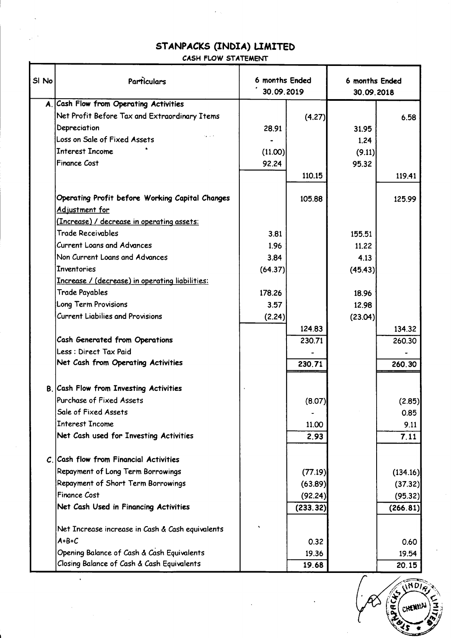# STANPACKS (INDIA) LIMITED

 $\mathcal{L}(\mathcal{A})$ 

## CASH FLOW STATEMENT

| SI No | Particulars                                            | 6 months Ended<br>30.09.2019 |          | 6 months Ended<br>30.09.2018 |          |
|-------|--------------------------------------------------------|------------------------------|----------|------------------------------|----------|
|       | A. Cash Flow from Operating Activities                 |                              |          |                              |          |
|       | Net Profit Before Tax and Extraordinary Ttems          |                              | (4.27)   |                              | 6.58     |
|       | Depreciation                                           | 28.91                        |          | 31.95                        |          |
|       | Loss on Sale of Fixed Assets                           |                              |          | 1.24                         |          |
|       | <b>Interest Income</b>                                 | (11.00)                      |          | (9.11)                       |          |
|       | <b>Finance Cost</b>                                    | 92.24                        |          | 95.32                        |          |
|       |                                                        |                              | 110.15   |                              | 119.41   |
|       | Operating Profit before Working Capital Changes        |                              | 105.88   |                              | 125.99   |
|       | Adjustment for                                         |                              |          |                              |          |
|       | <u>(Increase) / decrease in operating assets:</u>      |                              |          |                              |          |
|       | <b>Trade Receivables</b>                               | 3.81                         |          | 155.51                       |          |
|       | Current Loans and Advances                             | 1.96                         |          | 11.22                        |          |
|       | Non Current Loans and Advances                         | 3.84                         |          | 4.13                         |          |
|       | <b>Inventories</b>                                     | (64.37)                      |          | (45.43)                      |          |
|       | <u>Increase / (decrease) in operating liabilities:</u> |                              |          |                              |          |
|       | <b>Trade Payables</b>                                  | 178.26                       |          | 18.96                        |          |
|       | Long Term Provisions                                   | 3.57                         |          | 12.98                        |          |
|       | <b>Current Liabilies and Provisions</b>                | (2.24)                       |          | (23.04)                      |          |
|       |                                                        |                              | 124.83   |                              | 134.32   |
|       | Cash Generated from Operations                         |                              | 230.71   |                              | 260.30   |
|       | Less : Direct Tax Paid                                 |                              |          |                              |          |
|       | Net Cash from Operating Activities                     |                              | 230.71   |                              | 260.30   |
|       | B. Cash Flow from Investing Activities                 |                              |          |                              |          |
|       | Purchase of Fixed Assets                               |                              | (8.07)   |                              | (2.85)   |
|       | Sale of Fixed Assets                                   |                              |          |                              | 0.85     |
|       | <b>Interest Income</b>                                 |                              | 11.00    |                              | 9.11     |
|       | Net Cash used for Investing Activities                 |                              | 2.93     |                              | 7.11     |
|       | $Cn$ Cash flow from Financial Activities               |                              |          |                              |          |
|       | Repayment of Long Term Borrowings                      |                              | (77.19)  |                              | (134.16) |
|       | Repayment of Short Term Borrowings                     |                              | (63.89)  |                              | (37.32)  |
|       | Finance Cost                                           |                              | (92.24)  |                              | (95.32)  |
|       | Net Cash Used in Financing Activities                  |                              | (233.32) |                              | (266.81) |
|       | Net Increase increase in Cash & Cash equivalents       |                              |          |                              |          |
|       | $A+B+C$                                                |                              | 0.32     |                              | 0.60     |
|       | Opening Balance of Cash & Cash Equivalents             |                              | 19.36    |                              | 19.54    |
|       | Closing Balance of Cash & Cash Equivalents             |                              | 19.68    |                              | 20.15    |

 $\hat{\mathbf{v}}$ 

INDI **ACKS CHENY!** S